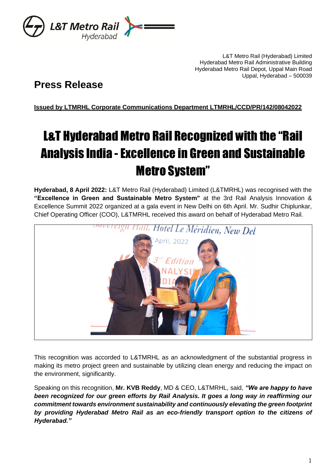

L&T Metro Rail (Hyderabad) Limited Hyderabad Metro Rail Administrative Building Hyderabad Metro Rail Depot, Uppal Main Road Uppal, Hyderabad – 500039

# **Press Release**

**Issued by LTMRHL Corporate Communications Department LTMRHL/CCD/PR/142/08042022**

# L&T Hyderabad Metro Rail Recognized with the "Rail Analysis India - Excellence in Green and Sustainable Metro System"

**Hyderabad, 8 April 2022:** L&T Metro Rail (Hyderabad) Limited (L&TMRHL) was recognised with the **"Excellence in Green and Sustainable Metro System"** at the 3rd Rail Analysis Innovation & Excellence Summit 2022 organized at a gala event in New Delhi on 6th April. Mr. Sudhir Chiplunkar, Chief Operating Officer (COO), L&TMRHL received this award on behalf of Hyderabad Metro Rail.



This recognition was accorded to L&TMRHL as an acknowledgment of the substantial progress in making its metro project green and sustainable by utilizing clean energy and reducing the impact on the environment, significantly.

Speaking on this recognition, **Mr. KVB Reddy**, MD & CEO, L&TMRHL, said, *"We are happy to have been recognized for our green efforts by Rail Analysis. It goes a long way in reaffirming our commitment towards environment sustainability and continuously elevating the green footprint by providing Hyderabad Metro Rail as an eco-friendly transport option to the citizens of Hyderabad."*